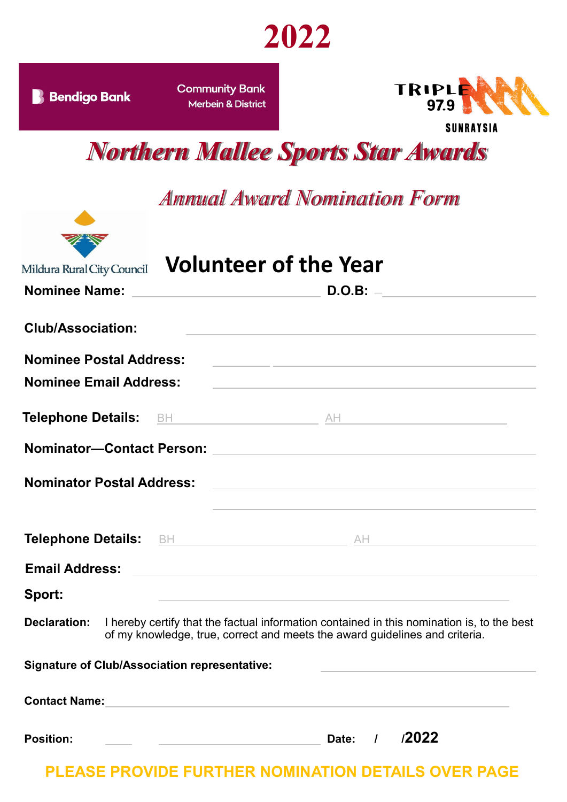

| <b>Bendigo Bank</b>                                  | <b>Community Bank</b><br><b>Merbein &amp; District</b>              | TRIPLE<br>97.9<br>SUNRAYSIA                                                                                                                                               |  |
|------------------------------------------------------|---------------------------------------------------------------------|---------------------------------------------------------------------------------------------------------------------------------------------------------------------------|--|
| <b>Northern Mallee Sports Star Awards</b>            |                                                                     |                                                                                                                                                                           |  |
|                                                      |                                                                     | <b>Annual Award Nomination Form</b>                                                                                                                                       |  |
| Mildura Rural City Council                           | <b>Volunteer of the Year</b>                                        |                                                                                                                                                                           |  |
| <b>Nominee Name:</b>                                 | <u> 1980 - Johann Stein, mars an deus Amerikaansk kommunister (</u> | D.O.B:                                                                                                                                                                    |  |
| <b>Club/Association:</b>                             |                                                                     |                                                                                                                                                                           |  |
| <b>Nominee Postal Address:</b>                       |                                                                     | <u> 1989 - Johann Stein, mars et al. 1989 - Anna ann an t-Anna ann an t-Anna ann an t-Anna ann an t-Anna ann an t-</u>                                                    |  |
| <b>Nominee Email Address:</b>                        |                                                                     |                                                                                                                                                                           |  |
|                                                      |                                                                     |                                                                                                                                                                           |  |
| <b>Nominator-Contact Person:</b>                     |                                                                     | <u> 1989 - Johann Harry Harry Harry Harry Harry Harry Harry Harry Harry Harry Harry Harry Harry Harry Harry Harry</u>                                                     |  |
| <b>Nominator Postal Address:</b>                     |                                                                     |                                                                                                                                                                           |  |
|                                                      |                                                                     | Telephone Details: BH BH AND AND AND AND AND AND AND ALL AND ALL AND AND ALL AND AND ALL AND AND AND ALL AND A                                                            |  |
|                                                      |                                                                     |                                                                                                                                                                           |  |
|                                                      |                                                                     |                                                                                                                                                                           |  |
| Sport:                                               |                                                                     |                                                                                                                                                                           |  |
| <b>Declaration:</b>                                  |                                                                     | I hereby certify that the factual information contained in this nomination is, to the best<br>of my knowledge, true, correct and meets the award guidelines and criteria. |  |
| <b>Signature of Club/Association representative:</b> |                                                                     |                                                                                                                                                                           |  |
|                                                      |                                                                     |                                                                                                                                                                           |  |

**PLEASE PROVIDE FURTHER NOMINATION DETAILS OVER PAGE**